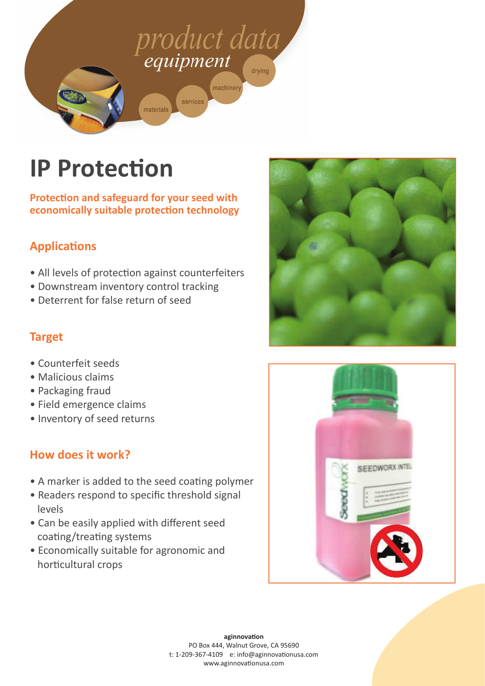

# **IP Protection**

**ProtecƟ on and safeguard for your seed with economically suitable protection technology** 

### **ApplicaƟ ons**

- All levels of protection against counterfeiters
- Downstream inventory control tracking
- Deterrent for false return of seed

#### **Target**

- Counterfeit seeds
- Malicious claims
- Packaging fraud
- Field emergence claims
- Inventory of seed returns

#### **How does it work?**

- A marker is added to the seed coating polymer
- Readers respond to specific threshold signal levels
- Can be easily applied with different seed coating/treating systems
- Economically suitable for agronomic and horticultural crops